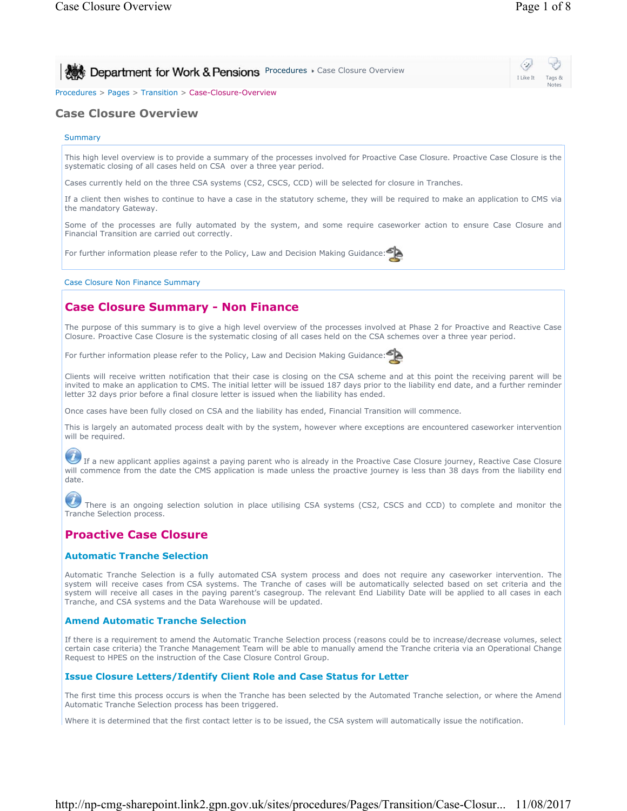I Like It Tags & Notes

⇔

**Procedures Case Closure Overview** 

Procedures > Pages > Transition > Case-Closure-Overview

# **Case Closure Overview**

## **Summary**

This high level overview is to provide a summary of the processes involved for Proactive Case Closure. Proactive Case Closure is the systematic closing of all cases held on CSA over a three year period.

Cases currently held on the three CSA systems (CS2, CSCS, CCD) will be selected for closure in Tranches.

If a client then wishes to continue to have a case in the statutory scheme, they will be required to make an application to CMS via the mandatory Gateway.

Some of the processes are fully automated by the system, and some require caseworker action to ensure Case Closure and Financial Transition are carried out correctly.

For further information please refer to the Policy, Law and Decision Making Guidance:

Case Closure Non Finance Summary

# **Case Closure Summary - Non Finance**

The purpose of this summary is to give a high level overview of the processes involved at Phase 2 for Proactive and Reactive Case Closure. Proactive Case Closure is the systematic closing of all cases held on the CSA schemes over a three year period.

For further information please refer to the Policy, Law and Decision Making Guidance:



Clients will receive written notification that their case is closing on the CSA scheme and at this point the receiving parent will be invited to make an application to CMS. The initial letter will be issued 187 days prior to the liability end date, and a further reminder letter 32 days prior before a final closure letter is issued when the liability has ended.

Once cases have been fully closed on CSA and the liability has ended, Financial Transition will commence.

This is largely an automated process dealt with by the system, however where exceptions are encountered caseworker intervention will be required.

 If a new applicant applies against a paying parent who is already in the Proactive Case Closure journey, Reactive Case Closure will commence from the date the CMS application is made unless the proactive journey is less than 38 days from the liability end date.

There is an ongoing selection solution in place utilising CSA systems (CS2, CSCS and CCD) to complete and monitor the Tranche Selection process.

# **Proactive Case Closure**

## **Automatic Tranche Selection**

Automatic Tranche Selection is a fully automated CSA system process and does not require any caseworker intervention. The system will receive cases from CSA systems. The Tranche of cases will be automatically selected based on set criteria and the system will receive all cases in the paying parent's casegroup. The relevant End Liability Date will be applied to all cases in each Tranche, and CSA systems and the Data Warehouse will be updated.

#### **Amend Automatic Tranche Selection**

If there is a requirement to amend the Automatic Tranche Selection process (reasons could be to increase/decrease volumes, select certain case criteria) the Tranche Management Team will be able to manually amend the Tranche criteria via an Operational Change Request to HPES on the instruction of the Case Closure Control Group.

#### **Issue Closure Letters/Identify Client Role and Case Status for Letter**

The first time this process occurs is when the Tranche has been selected by the Automated Tranche selection, or where the Amend Automatic Tranche Selection process has been triggered.

Where it is determined that the first contact letter is to be issued, the CSA system will automatically issue the notification.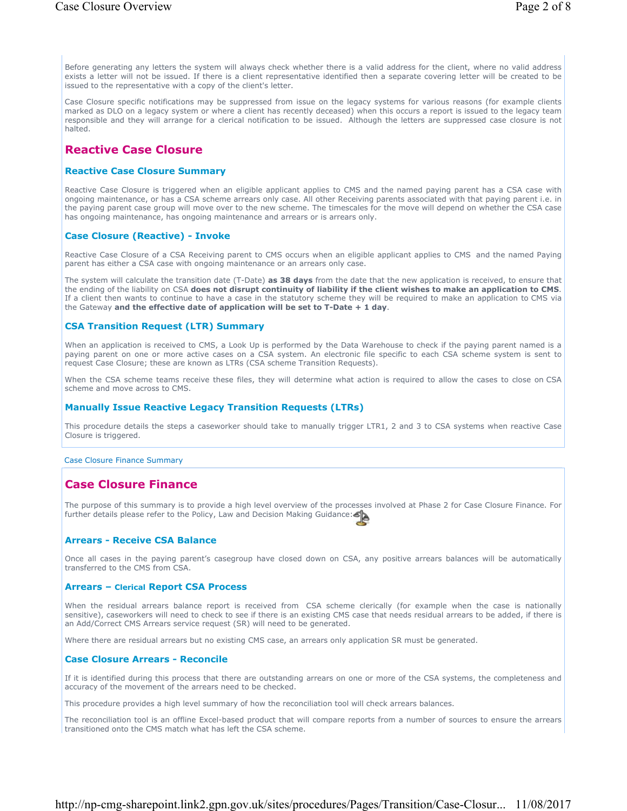Before generating any letters the system will always check whether there is a valid address for the client, where no valid address exists a letter will not be issued. If there is a client representative identified then a separate covering letter will be created to be issued to the representative with a copy of the client's letter.

Case Closure specific notifications may be suppressed from issue on the legacy systems for various reasons (for example clients marked as DLO on a legacy system or where a client has recently deceased) when this occurs a report is issued to the legacy team responsible and they will arrange for a clerical notification to be issued. Although the letters are suppressed case closure is not halted.

# **Reactive Case Closure**

### **Reactive Case Closure Summary**

Reactive Case Closure is triggered when an eligible applicant applies to CMS and the named paying parent has a CSA case with ongoing maintenance, or has a CSA scheme arrears only case. All other Receiving parents associated with that paying parent i.e. in the paying parent case group will move over to the new scheme. The timescales for the move will depend on whether the CSA case has ongoing maintenance, has ongoing maintenance and arrears or is arrears only.

### **Case Closure (Reactive) - Invoke**

Reactive Case Closure of a CSA Receiving parent to CMS occurs when an eligible applicant applies to CMS and the named Paying parent has either a CSA case with ongoing maintenance or an arrears only case.

The system will calculate the transition date (T-Date) **as 38 days** from the date that the new application is received, to ensure that the ending of the liability on CSA **does not disrupt continuity of liability if the client wishes to make an application to CMS**. If a client then wants to continue to have a case in the statutory scheme they will be required to make an application to CMS via the Gateway **and the effective date of application will be set to T-Date + 1 day**.

## **CSA Transition Request (LTR) Summary**

When an application is received to CMS, a Look Up is performed by the Data Warehouse to check if the paying parent named is a paying parent on one or more active cases on a CSA system. An electronic file specific to each CSA scheme system is sent to request Case Closure; these are known as LTRs (CSA scheme Transition Requests).

When the CSA scheme teams receive these files, they will determine what action is required to allow the cases to close on CSA scheme and move across to CMS.

### **Manually Issue Reactive Legacy Transition Requests (LTRs)**

This procedure details the steps a caseworker should take to manually trigger LTR1, 2 and 3 to CSA systems when reactive Case Closure is triggered.

#### Case Closure Finance Summary

# **Case Closure Finance**

The purpose of this summary is to provide a high level overview of the processes involved at Phase 2 for Case Closure Finance. For further details please refer to the Policy, Law and Decision Making Guidance:

## **Arrears - Receive CSA Balance**

Once all cases in the paying parent's casegroup have closed down on CSA, any positive arrears balances will be automatically transferred to the CMS from CSA.

#### **Arrears – Clerical Report CSA Process**

When the residual arrears balance report is received from CSA scheme clerically (for example when the case is nationally sensitive), caseworkers will need to check to see if there is an existing CMS case that needs residual arrears to be added, if there is an Add/Correct CMS Arrears service request (SR) will need to be generated.

Where there are residual arrears but no existing CMS case, an arrears only application SR must be generated.

#### **Case Closure Arrears - Reconcile**

If it is identified during this process that there are outstanding arrears on one or more of the CSA systems, the completeness and accuracy of the movement of the arrears need to be checked.

This procedure provides a high level summary of how the reconciliation tool will check arrears balances.

The reconciliation tool is an offline Excel-based product that will compare reports from a number of sources to ensure the arrears transitioned onto the CMS match what has left the CSA scheme.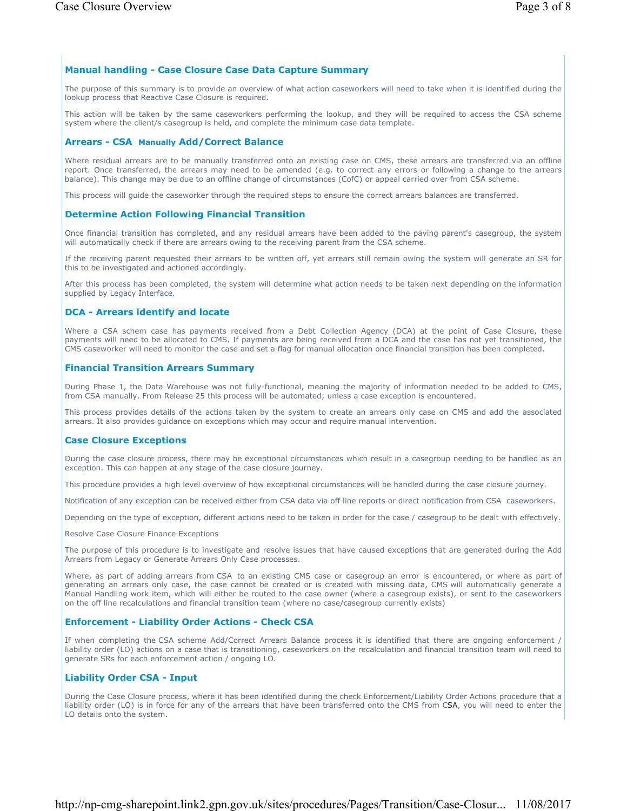## **Manual handling - Case Closure Case Data Capture Summary**

The purpose of this summary is to provide an overview of what action caseworkers will need to take when it is identified during the lookup process that Reactive Case Closure is required.

This action will be taken by the same caseworkers performing the lookup, and they will be required to access the CSA scheme system where the client/s casegroup is held, and complete the minimum case data template.

## **Arrears - CSA Manually Add/Correct Balance**

Where residual arrears are to be manually transferred onto an existing case on CMS, these arrears are transferred via an offline report. Once transferred, the arrears may need to be amended (e.g. to correct any errors or following a change to the arrears balance). This change may be due to an offline change of circumstances (CofC) or appeal carried over from CSA scheme.

This process will guide the caseworker through the required steps to ensure the correct arrears balances are transferred.

## **Determine Action Following Financial Transition**

Once financial transition has completed, and any residual arrears have been added to the paying parent's casegroup, the system will automatically check if there are arrears owing to the receiving parent from the CSA scheme.

If the receiving parent requested their arrears to be written off, yet arrears still remain owing the system will generate an SR for this to be investigated and actioned accordingly.

After this process has been completed, the system will determine what action needs to be taken next depending on the information supplied by Legacy Interface.

## **DCA - Arrears identify and locate**

Where a CSA schem case has payments received from a Debt Collection Agency (DCA) at the point of Case Closure, these payments will need to be allocated to CMS. If payments are being received from a DCA and the case has not yet transitioned, the CMS caseworker will need to monitor the case and set a flag for manual allocation once financial transition has been completed.

### **Financial Transition Arrears Summary**

During Phase 1, the Data Warehouse was not fully-functional, meaning the majority of information needed to be added to CMS, from CSA manually. From Release 25 this process will be automated; unless a case exception is encountered.

This process provides details of the actions taken by the system to create an arrears only case on CMS and add the associated arrears. It also provides guidance on exceptions which may occur and require manual intervention.

#### **Case Closure Exceptions**

During the case closure process, there may be exceptional circumstances which result in a casegroup needing to be handled as an exception. This can happen at any stage of the case closure journey.

This procedure provides a high level overview of how exceptional circumstances will be handled during the case closure journey.

Notification of any exception can be received either from CSA data via off line reports or direct notification from CSA caseworkers.

Depending on the type of exception, different actions need to be taken in order for the case / casegroup to be dealt with effectively.

Resolve Case Closure Finance Exceptions

The purpose of this procedure is to investigate and resolve issues that have caused exceptions that are generated during the Add Arrears from Legacy or Generate Arrears Only Case processes.

Where, as part of adding arrears from CSA to an existing CMS case or casegroup an error is encountered, or where as part of generating an arrears only case, the case cannot be created or is created with missing data, CMS will automatically generate a Manual Handling work item, which will either be routed to the case owner (where a casegroup exists), or sent to the caseworkers on the off line recalculations and financial transition team (where no case/casegroup currently exists)

## **Enforcement - Liability Order Actions - Check CSA**

If when completing the CSA scheme Add/Correct Arrears Balance process it is identified that there are ongoing enforcement / liability order (LO) actions on a case that is transitioning, caseworkers on the recalculation and financial transition team will need to generate SRs for each enforcement action / ongoing LO.

## **Liability Order CSA - Input**

During the Case Closure process, where it has been identified during the check Enforcement/Liability Order Actions procedure that a liability order (LO) is in force for any of the arrears that have been transferred onto the CMS from CSA, you will need to enter the LO details onto the system.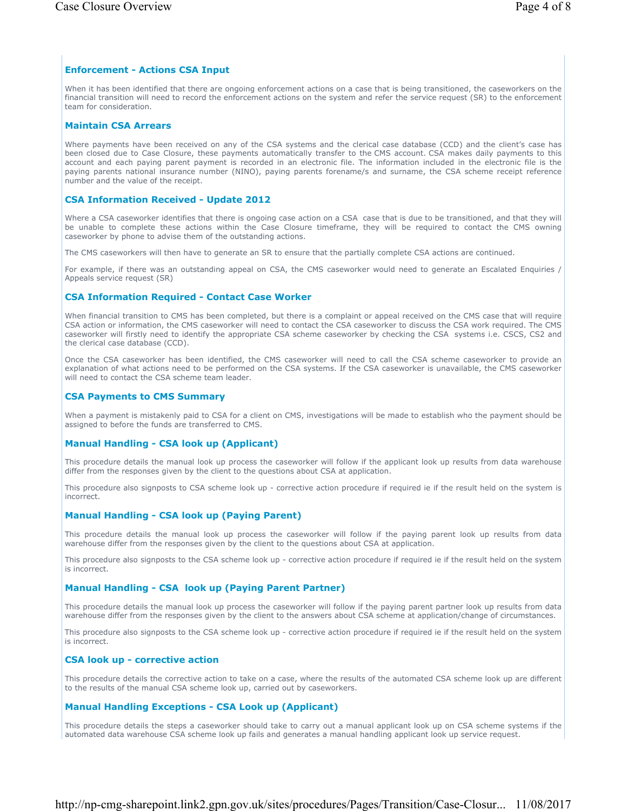### **Enforcement - Actions CSA Input**

When it has been identified that there are ongoing enforcement actions on a case that is being transitioned, the caseworkers on the financial transition will need to record the enforcement actions on the system and refer the service request (SR) to the enforcement team for consideration.

### **Maintain CSA Arrears**

Where payments have been received on any of the CSA systems and the clerical case database (CCD) and the client's case has been closed due to Case Closure, these payments automatically transfer to the CMS account. CSA makes daily payments to this account and each paying parent payment is recorded in an electronic file. The information included in the electronic file is the paying parents national insurance number (NINO), paying parents forename/s and surname, the CSA scheme receipt reference number and the value of the receipt.

#### **CSA Information Received - Update 2012**

Where a CSA caseworker identifies that there is ongoing case action on a CSA case that is due to be transitioned, and that they will be unable to complete these actions within the Case Closure timeframe, they will be required to contact the CMS owning caseworker by phone to advise them of the outstanding actions.

The CMS caseworkers will then have to generate an SR to ensure that the partially complete CSA actions are continued.

For example, if there was an outstanding appeal on CSA, the CMS caseworker would need to generate an Escalated Enquiries / Appeals service request (SR)

### **CSA Information Required - Contact Case Worker**

When financial transition to CMS has been completed, but there is a complaint or appeal received on the CMS case that will require CSA action or information, the CMS caseworker will need to contact the CSA caseworker to discuss the CSA work required. The CMS caseworker will firstly need to identify the appropriate CSA scheme caseworker by checking the CSA systems i.e. CSCS, CS2 and the clerical case database (CCD).

Once the CSA caseworker has been identified, the CMS caseworker will need to call the CSA scheme caseworker to provide an explanation of what actions need to be performed on the CSA systems. If the CSA caseworker is unavailable, the CMS caseworker will need to contact the CSA scheme team leader.

#### **CSA Payments to CMS Summary**

When a payment is mistakenly paid to CSA for a client on CMS, investigations will be made to establish who the payment should be assigned to before the funds are transferred to CMS.

#### **Manual Handling - CSA look up (Applicant)**

This procedure details the manual look up process the caseworker will follow if the applicant look up results from data warehouse differ from the responses given by the client to the questions about CSA at application.

This procedure also signposts to CSA scheme look up - corrective action procedure if required ie if the result held on the system is incorrect.

#### **Manual Handling - CSA look up (Paying Parent)**

This procedure details the manual look up process the caseworker will follow if the paying parent look up results from data warehouse differ from the responses given by the client to the questions about CSA at application.

This procedure also signposts to the CSA scheme look up - corrective action procedure if required ie if the result held on the system is incorrect.

#### **Manual Handling - CSA look up (Paying Parent Partner)**

This procedure details the manual look up process the caseworker will follow if the paying parent partner look up results from data warehouse differ from the responses given by the client to the answers about CSA scheme at application/change of circumstances.

This procedure also signposts to the CSA scheme look up - corrective action procedure if required ie if the result held on the system is incorrect.

#### **CSA look up - corrective action**

This procedure details the corrective action to take on a case, where the results of the automated CSA scheme look up are different to the results of the manual CSA scheme look up, carried out by caseworkers.

### **Manual Handling Exceptions - CSA Look up (Applicant)**

This procedure details the steps a caseworker should take to carry out a manual applicant look up on CSA scheme systems if the automated data warehouse CSA scheme look up fails and generates a manual handling applicant look up service request.

## http://np-cmg-sharepoint.link2.gpn.gov.uk/sites/procedures/Pages/Transition/Case-Closur... 11/08/2017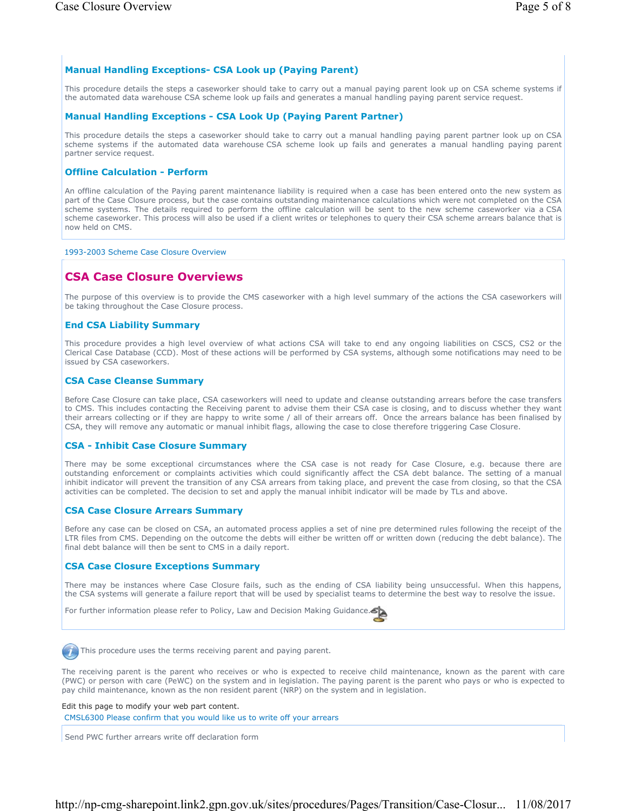## **Manual Handling Exceptions- CSA Look up (Paying Parent)**

This procedure details the steps a caseworker should take to carry out a manual paying parent look up on CSA scheme systems if the automated data warehouse CSA scheme look up fails and generates a manual handling paying parent service request.

## **Manual Handling Exceptions - CSA Look Up (Paying Parent Partner)**

This procedure details the steps a caseworker should take to carry out a manual handling paying parent partner look up on CSA scheme systems if the automated data warehouse CSA scheme look up fails and generates a manual handling paying parent partner service request.

## **Offline Calculation - Perform**

An offline calculation of the Paying parent maintenance liability is required when a case has been entered onto the new system as part of the Case Closure process, but the case contains outstanding maintenance calculations which were not completed on the CSA scheme systems. The details required to perform the offline calculation will be sent to the new scheme caseworker via a CSA scheme caseworker. This process will also be used if a client writes or telephones to query their CSA scheme arrears balance that is now held on CMS.

## 1993-2003 Scheme Case Closure Overview

# **CSA Case Closure Overviews**

The purpose of this overview is to provide the CMS caseworker with a high level summary of the actions the CSA caseworkers will be taking throughout the Case Closure process.

## **End CSA Liability Summary**

This procedure provides a high level overview of what actions CSA will take to end any ongoing liabilities on CSCS, CS2 or the Clerical Case Database (CCD). Most of these actions will be performed by CSA systems, although some notifications may need to be issued by CSA caseworkers.

## **CSA Case Cleanse Summary**

Before Case Closure can take place, CSA caseworkers will need to update and cleanse outstanding arrears before the case transfers to CMS. This includes contacting the Receiving parent to advise them their CSA case is closing, and to discuss whether they want their arrears collecting or if they are happy to write some / all of their arrears off. Once the arrears balance has been finalised by CSA, they will remove any automatic or manual inhibit flags, allowing the case to close therefore triggering Case Closure.

## **CSA - Inhibit Case Closure Summary**

There may be some exceptional circumstances where the CSA case is not ready for Case Closure, e.g. because there are outstanding enforcement or complaints activities which could significantly affect the CSA debt balance. The setting of a manual inhibit indicator will prevent the transition of any CSA arrears from taking place, and prevent the case from closing, so that the CSA activities can be completed. The decision to set and apply the manual inhibit indicator will be made by TLs and above.

## **CSA Case Closure Arrears Summary**

Before any case can be closed on CSA, an automated process applies a set of nine pre determined rules following the receipt of the LTR files from CMS. Depending on the outcome the debts will either be written off or written down (reducing the debt balance). The final debt balance will then be sent to CMS in a daily report.

## **CSA Case Closure Exceptions Summary**

There may be instances where Case Closure fails, such as the ending of CSA liability being unsuccessful. When this happens, the CSA systems will generate a failure report that will be used by specialist teams to determine the best way to resolve the issue.

For further information please refer to Policy, Law and Decision Making Guidance.



This procedure uses the terms receiving parent and paying parent.

The receiving parent is the parent who receives or who is expected to receive child maintenance, known as the parent with care (PWC) or person with care (PeWC) on the system and in legislation. The paying parent is the parent who pays or who is expected to pay child maintenance, known as the non resident parent (NRP) on the system and in legislation.

Edit this page to modify your web part content.

CMSL6300 Please confirm that you would like us to write off your arrears

Send PWC further arrears write off declaration form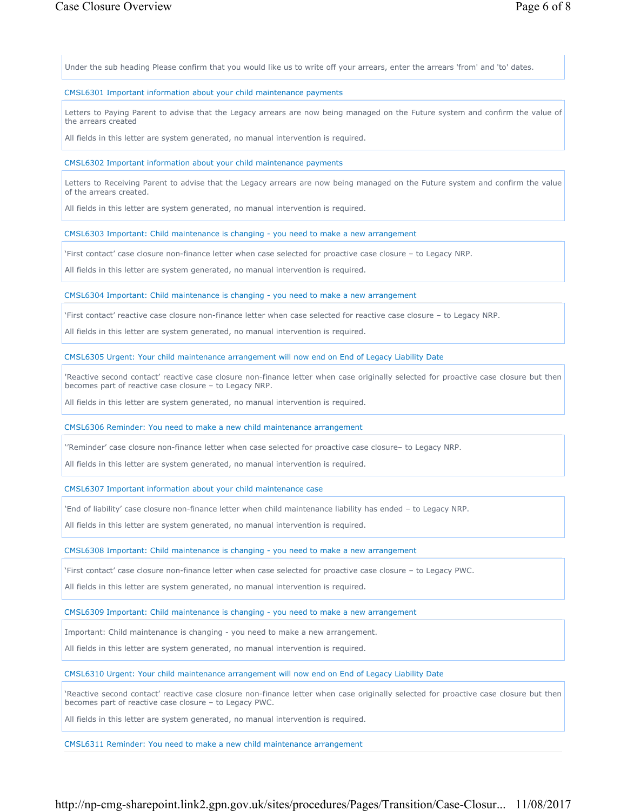Under the sub heading Please confirm that you would like us to write off your arrears, enter the arrears 'from' and 'to' dates.

#### CMSL6301 Important information about your child maintenance payments

Letters to Paying Parent to advise that the Legacy arrears are now being managed on the Future system and confirm the value of the arrears created

All fields in this letter are system generated, no manual intervention is required.

#### CMSL6302 Important information about your child maintenance payments

Letters to Receiving Parent to advise that the Legacy arrears are now being managed on the Future system and confirm the value of the arrears created.

All fields in this letter are system generated, no manual intervention is required.

CMSL6303 Important: Child maintenance is changing - you need to make a new arrangement

'First contact' case closure non-finance letter when case selected for proactive case closure – to Legacy NRP.

All fields in this letter are system generated, no manual intervention is required.

CMSL6304 Important: Child maintenance is changing - you need to make a new arrangement

'First contact' reactive case closure non-finance letter when case selected for reactive case closure – to Legacy NRP.

All fields in this letter are system generated, no manual intervention is required.

CMSL6305 Urgent: Your child maintenance arrangement will now end on End of Legacy Liability Date

'Reactive second contact' reactive case closure non-finance letter when case originally selected for proactive case closure but then becomes part of reactive case closure – to Legacy NRP.

All fields in this letter are system generated, no manual intervention is required.

CMSL6306 Reminder: You need to make a new child maintenance arrangement

''Reminder' case closure non-finance letter when case selected for proactive case closure– to Legacy NRP.

All fields in this letter are system generated, no manual intervention is required.

CMSL6307 Important information about your child maintenance case

'End of liability' case closure non-finance letter when child maintenance liability has ended – to Legacy NRP.

All fields in this letter are system generated, no manual intervention is required.

CMSL6308 Important: Child maintenance is changing - you need to make a new arrangement

'First contact' case closure non-finance letter when case selected for proactive case closure – to Legacy PWC.

All fields in this letter are system generated, no manual intervention is required.

CMSL6309 Important: Child maintenance is changing - you need to make a new arrangement

Important: Child maintenance is changing - you need to make a new arrangement.

All fields in this letter are system generated, no manual intervention is required.

CMSL6310 Urgent: Your child maintenance arrangement will now end on End of Legacy Liability Date

'Reactive second contact' reactive case closure non-finance letter when case originally selected for proactive case closure but then becomes part of reactive case closure – to Legacy PWC.

All fields in this letter are system generated, no manual intervention is required.

CMSL6311 Reminder: You need to make a new child maintenance arrangement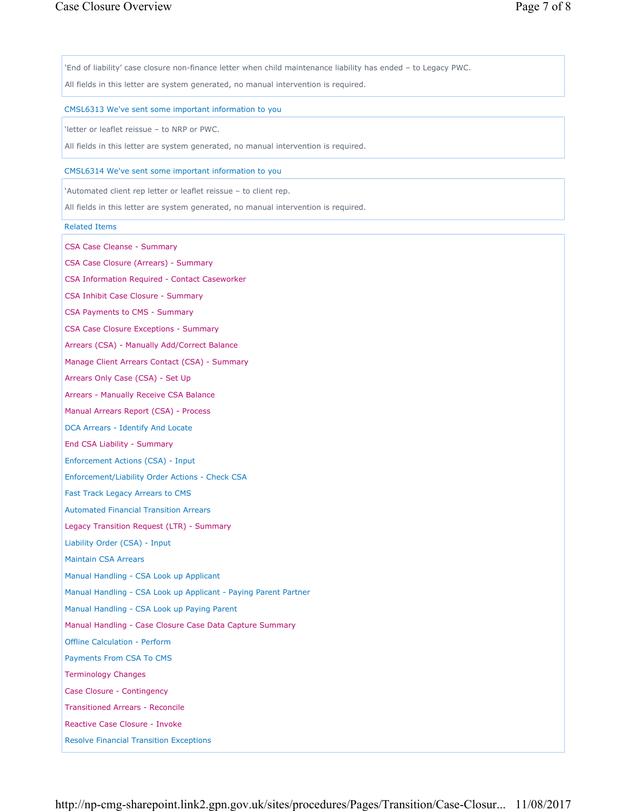'End of liability' case closure non-finance letter when child maintenance liability has ended – to Legacy PWC.

All fields in this letter are system generated, no manual intervention is required.

#### CMSL6313 We've sent some important information to you

'letter or leaflet reissue – to NRP or PWC.

All fields in this letter are system generated, no manual intervention is required.

#### CMSL6314 We've sent some important information to you

'Automated client rep letter or leaflet reissue – to client rep.

All fields in this letter are system generated, no manual intervention is required.

#### Related Items

CSA Case Cleanse - Summary

CSA Case Closure (Arrears) - Summary

CSA Information Required - Contact Caseworker

CSA Inhibit Case Closure - Summary

CSA Payments to CMS - Summary

CSA Case Closure Exceptions - Summary

Arrears (CSA) - Manually Add/Correct Balance

Manage Client Arrears Contact (CSA) - Summary

Arrears Only Case (CSA) - Set Up

Arrears - Manually Receive CSA Balance

Manual Arrears Report (CSA) - Process

DCA Arrears - Identify And Locate

End CSA Liability - Summary

Enforcement Actions (CSA) - Input

Enforcement/Liability Order Actions - Check CSA

Fast Track Legacy Arrears to CMS

Automated Financial Transition Arrears

Legacy Transition Request (LTR) - Summary

Liability Order (CSA) - Input

Maintain CSA Arrears

Manual Handling - CSA Look up Applicant

Manual Handling - CSA Look up Applicant - Paying Parent Partner

Manual Handling - CSA Look up Paying Parent

Manual Handling - Case Closure Case Data Capture Summary

Offline Calculation - Perform

Payments From CSA To CMS

Terminology Changes

Case Closure - Contingency

Transitioned Arrears - Reconcile

Reactive Case Closure - Invoke

Resolve Financial Transition Exceptions